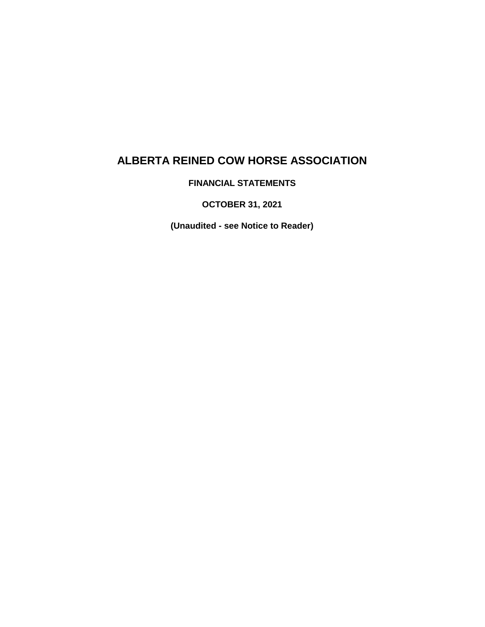**FINANCIAL STATEMENTS**

**OCTOBER 31, 2021**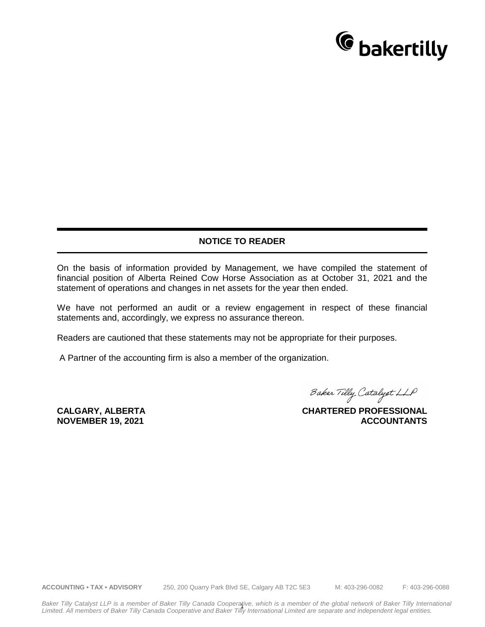

#### **NOTICE TO READER**

On the basis of information provided by Management, we have compiled the statement of financial position of Alberta Reined Cow Horse Association as at October 31, 2021 and the statement of operations and changes in net assets for the year then ended.

We have not performed an audit or a review engagement in respect of these financial statements and, accordingly, we express no assurance thereon.

Readers are cautioned that these statements may not be appropriate for their purposes.

A Partner of the accounting firm is also a member of the organization.

**CALGARY, ALBERTA NOVEMBER 19, 2021**

Baker Tilly Catalyst LLP

**CHARTERED PROFESSIONAL ACCOUNTANTS**

**ACCOUNTING • TAX • ADVISORY** 250, 200 Quarry Park Blvd SE, Calgary AB T2C 5E3 M: 403-296-0082 F: 403-296-0088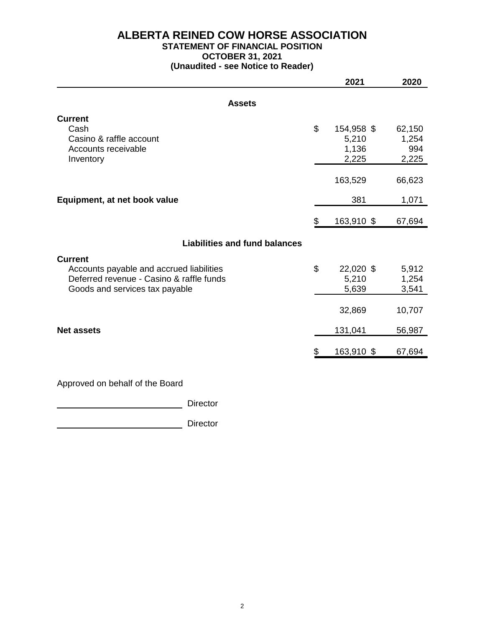#### **ALBERTA REINED COW HORSE ASSOCIATION STATEMENT OF FINANCIAL POSITION**

### **OCTOBER 31, 2021**

**(Unaudited - see Notice to Reader)**

|                                                                                      | 2021             | 2020           |
|--------------------------------------------------------------------------------------|------------------|----------------|
| <b>Assets</b>                                                                        |                  |                |
| <b>Current</b>                                                                       |                  |                |
| Cash                                                                                 | \$<br>154,958 \$ | 62,150         |
| Casino & raffle account                                                              | 5,210            | 1,254          |
| Accounts receivable<br>Inventory                                                     | 1,136<br>2,225   | 994<br>2,225   |
|                                                                                      |                  |                |
|                                                                                      | 163,529          | 66,623         |
| Equipment, at net book value                                                         | 381              | 1,071          |
|                                                                                      | \$<br>163,910 \$ | 67,694         |
| <b>Liabilities and fund balances</b>                                                 |                  |                |
|                                                                                      |                  |                |
| <b>Current</b>                                                                       | \$<br>22,020 \$  |                |
| Accounts payable and accrued liabilities<br>Deferred revenue - Casino & raffle funds | 5,210            | 5,912<br>1,254 |
| Goods and services tax payable                                                       | 5,639            | 3,541          |
|                                                                                      |                  |                |
|                                                                                      | 32,869           | 10,707         |
| <b>Net assets</b>                                                                    | 131,041          | 56,987         |
|                                                                                      | \$<br>163,910 \$ | 67,694         |
|                                                                                      |                  |                |

Approved on behalf of the Board

**Director** Director

**Director** Director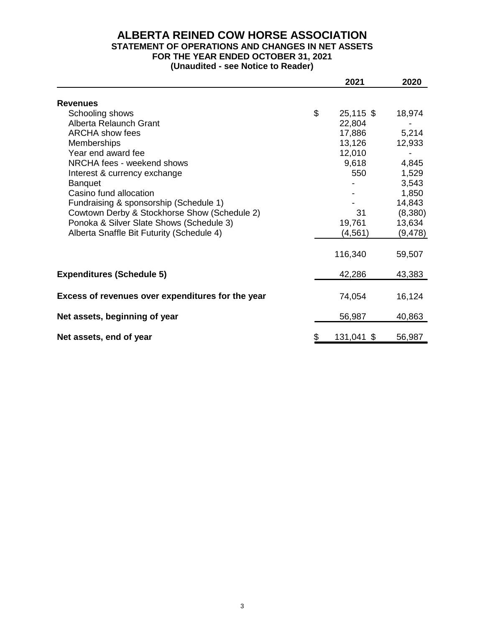#### **ALBERTA REINED COW HORSE ASSOCIATION STATEMENT OF OPERATIONS AND CHANGES IN NET ASSETS FOR THE YEAR ENDED OCTOBER 31, 2021 (Unaudited - see Notice to Reader)**

|                                                   | 2021              | 2020     |
|---------------------------------------------------|-------------------|----------|
|                                                   |                   |          |
| <b>Revenues</b>                                   |                   |          |
| Schooling shows                                   | \$<br>$25,115$ \$ | 18,974   |
| Alberta Relaunch Grant                            | 22,804            |          |
| <b>ARCHA</b> show fees                            | 17,886            | 5,214    |
| <b>Memberships</b>                                | 13,126            | 12,933   |
| Year end award fee                                | 12,010            |          |
| NRCHA fees - weekend shows                        | 9,618             | 4,845    |
| Interest & currency exchange                      | 550               | 1,529    |
| <b>Banquet</b>                                    |                   | 3,543    |
| Casino fund allocation                            |                   | 1,850    |
| Fundraising & sponsorship (Schedule 1)            |                   | 14,843   |
| Cowtown Derby & Stockhorse Show (Schedule 2)      | 31                | (8,380)  |
| Ponoka & Silver Slate Shows (Schedule 3)          | 19,761            | 13,634   |
| Alberta Snaffle Bit Futurity (Schedule 4)         | (4, 561)          | (9, 478) |
|                                                   |                   |          |
|                                                   | 116,340           | 59,507   |
| <b>Expenditures (Schedule 5)</b>                  | 42,286            | 43,383   |
|                                                   |                   |          |
| Excess of revenues over expenditures for the year | 74,054            | 16,124   |
| Net assets, beginning of year                     | 56,987            | 40,863   |
|                                                   |                   |          |
| Net assets, end of year                           | \$<br>131,041 \$  | 56,987   |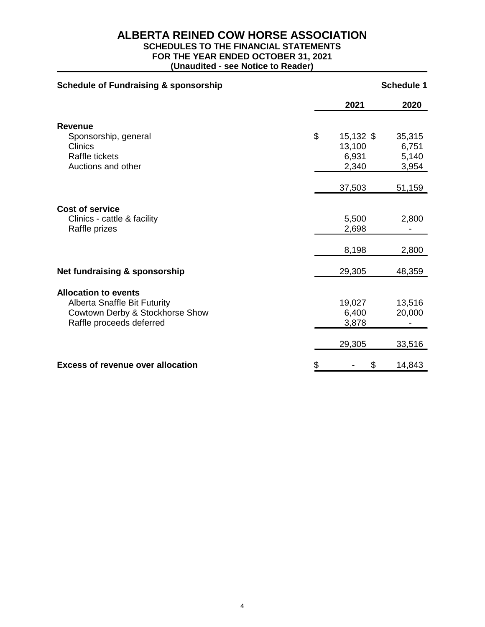# **SCHEDULES TO THE FINANCIAL STATEMENTS**

**FOR THE YEAR ENDED OCTOBER 31, 2021**

| <b>Schedule of Fundraising &amp; sponsorship</b>                                      | <b>Schedule 1</b>                           |                                   |  |
|---------------------------------------------------------------------------------------|---------------------------------------------|-----------------------------------|--|
|                                                                                       | 2021                                        | 2020                              |  |
| <b>Revenue</b>                                                                        |                                             |                                   |  |
| Sponsorship, general<br><b>Clinics</b><br><b>Raffle tickets</b><br>Auctions and other | \$<br>15,132 \$<br>13,100<br>6,931<br>2,340 | 35,315<br>6,751<br>5,140<br>3,954 |  |
|                                                                                       | 37,503                                      | 51,159                            |  |
| <b>Cost of service</b>                                                                |                                             |                                   |  |
| Clinics - cattle & facility<br>Raffle prizes                                          | 5,500<br>2,698                              | 2,800                             |  |
|                                                                                       | 8,198                                       | 2,800                             |  |
| Net fundraising & sponsorship                                                         | 29,305                                      | 48,359                            |  |
| <b>Allocation to events</b>                                                           |                                             |                                   |  |
| <b>Alberta Snaffle Bit Futurity</b>                                                   | 19,027                                      | 13,516                            |  |
| Cowtown Derby & Stockhorse Show                                                       | 6,400                                       | 20,000                            |  |
| Raffle proceeds deferred                                                              | 3,878                                       |                                   |  |
|                                                                                       | 29,305                                      | 33,516                            |  |
| <b>Excess of revenue over allocation</b>                                              | \$<br>\$                                    | 14,843                            |  |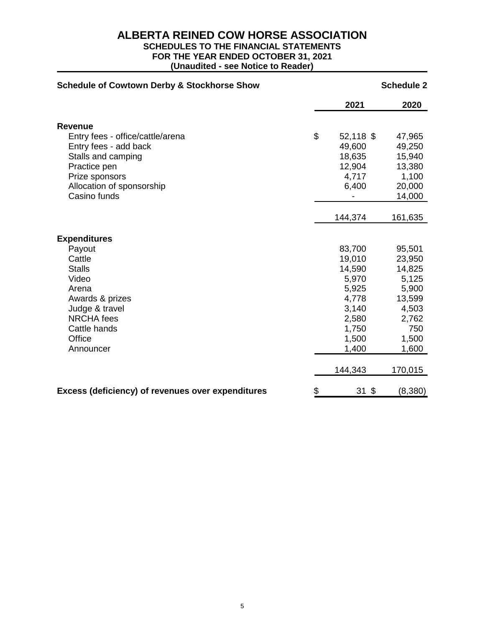# **SCHEDULES TO THE FINANCIAL STATEMENTS**

**FOR THE YEAR ENDED OCTOBER 31, 2021**

| <b>Schedule of Cowtown Derby &amp; Stockhorse Show</b>   |    | <b>Schedule 2</b> |         |  |
|----------------------------------------------------------|----|-------------------|---------|--|
|                                                          |    | 2021              | 2020    |  |
| <b>Revenue</b>                                           |    |                   |         |  |
| Entry fees - office/cattle/arena                         | \$ | 52,118 \$         | 47,965  |  |
| Entry fees - add back                                    |    | 49,600            | 49,250  |  |
| Stalls and camping                                       |    | 18,635            | 15,940  |  |
| Practice pen                                             |    | 12,904            | 13,380  |  |
| Prize sponsors                                           |    | 4,717             | 1,100   |  |
| Allocation of sponsorship                                |    | 6,400             | 20,000  |  |
| Casino funds                                             |    |                   | 14,000  |  |
|                                                          |    |                   |         |  |
|                                                          |    | 144,374           | 161,635 |  |
| <b>Expenditures</b>                                      |    |                   |         |  |
| Payout                                                   |    | 83,700            | 95,501  |  |
| Cattle                                                   |    | 19,010            | 23,950  |  |
| <b>Stalls</b>                                            |    | 14,590            | 14,825  |  |
| Video                                                    |    | 5,970             | 5,125   |  |
| Arena                                                    |    | 5,925             | 5,900   |  |
| Awards & prizes                                          |    | 4,778             | 13,599  |  |
| Judge & travel                                           |    | 3,140             | 4,503   |  |
| <b>NRCHA</b> fees                                        |    | 2,580             | 2,762   |  |
| Cattle hands                                             |    | 1,750             | 750     |  |
| Office                                                   |    | 1,500             | 1,500   |  |
| Announcer                                                |    | 1,400             | 1,600   |  |
|                                                          |    | 144,343           | 170,015 |  |
| <b>Excess (deficiency) of revenues over expenditures</b> | \$ | $31 \text{ }$ \$  | (8,380) |  |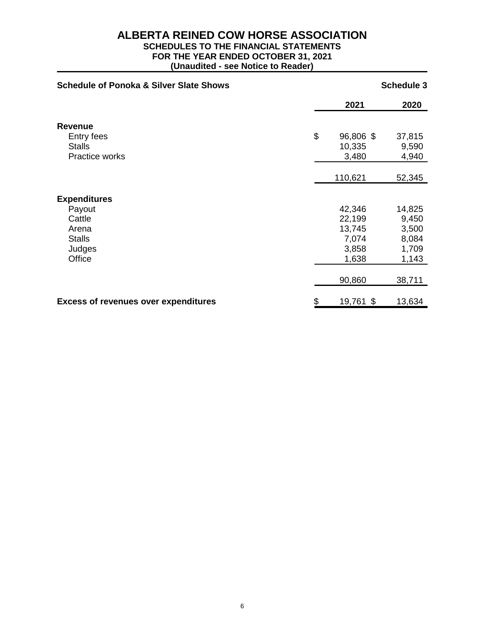# **SCHEDULES TO THE FINANCIAL STATEMENTS**

**FOR THE YEAR ENDED OCTOBER 31, 2021**

| <b>Schedule of Ponoka &amp; Silver Slate Shows</b> | <b>Schedule 3</b> |        |  |
|----------------------------------------------------|-------------------|--------|--|
|                                                    | 2021              | 2020   |  |
| <b>Revenue</b>                                     |                   |        |  |
| Entry fees                                         | \$<br>96,806 \$   | 37,815 |  |
| <b>Stalls</b>                                      | 10,335            | 9,590  |  |
| Practice works                                     | 3,480             | 4,940  |  |
|                                                    |                   |        |  |
|                                                    | 110,621           | 52,345 |  |
| <b>Expenditures</b>                                |                   |        |  |
| Payout                                             | 42,346            | 14,825 |  |
| Cattle                                             | 22,199            | 9,450  |  |
| Arena                                              | 13,745            | 3,500  |  |
| <b>Stalls</b>                                      | 7,074             | 8,084  |  |
| Judges                                             | 3,858             | 1,709  |  |
| Office                                             | 1,638             | 1,143  |  |
|                                                    |                   |        |  |
|                                                    | 90,860            | 38,711 |  |
| <b>Excess of revenues over expenditures</b>        | \$<br>19,761 \$   | 13,634 |  |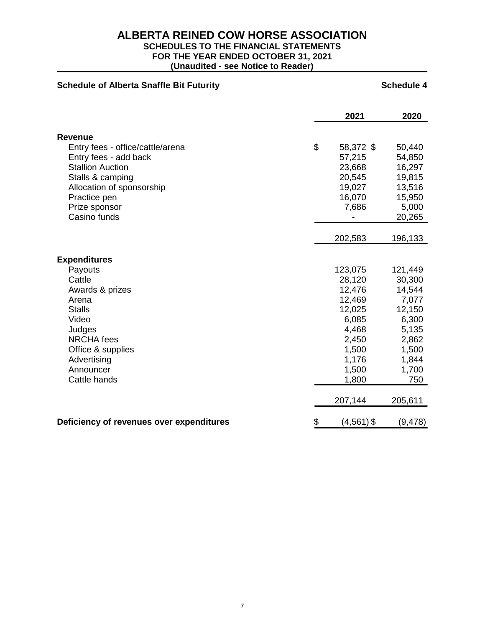# **SCHEDULES TO THE FINANCIAL STATEMENTS**

**FOR THE YEAR ENDED OCTOBER 31, 2021**

| <b>Schedule of Alberta Snaffle Bit Futurity</b>                                                        |                                                          | <b>Schedule 4</b>                                       |
|--------------------------------------------------------------------------------------------------------|----------------------------------------------------------|---------------------------------------------------------|
|                                                                                                        | 2021                                                     | 2020                                                    |
| <b>Revenue</b><br>Entry fees - office/cattle/arena<br>Entry fees - add back<br><b>Stallion Auction</b> | \$<br>58,372 \$<br>57,215<br>23,668                      | 50,440<br>54,850<br>16,297                              |
| Stalls & camping<br>Allocation of sponsorship<br>Practice pen<br>Prize sponsor<br>Casino funds         | 20,545<br>19,027<br>16,070<br>7,686                      | 19,815<br>13,516<br>15,950<br>5,000<br>20,265           |
|                                                                                                        | 202,583                                                  | 196,133                                                 |
| <b>Expenditures</b><br>Payouts<br>Cattle<br>Awards & prizes<br>Arena<br><b>Stalls</b><br>Video         | 123,075<br>28,120<br>12,476<br>12,469<br>12,025<br>6,085 | 121,449<br>30,300<br>14,544<br>7,077<br>12,150<br>6,300 |
| Judges<br><b>NRCHA</b> fees<br>Office & supplies<br>Advertising<br>Announcer<br>Cattle hands           | 4,468<br>2,450<br>1,500<br>1,176<br>1,500<br>1,800       | 5,135<br>2,862<br>1,500<br>1,844<br>1,700<br>750        |
|                                                                                                        | 207,144                                                  | 205,611                                                 |
| Deficiency of revenues over expenditures                                                               | \$<br>$(4,561)$ \$                                       | (9, 478)                                                |